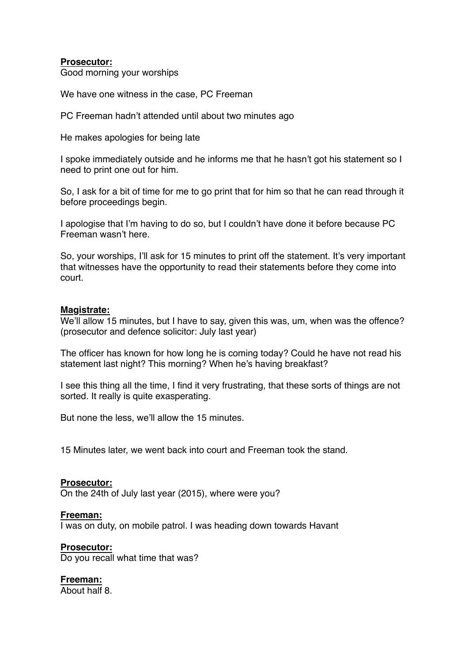## **Prosecutor:**

Good morning your worships

We have one witness in the case, PC Freeman

PC Freeman hadn't attended until about two minutes ago

He makes apologies for being late

I spoke immediately outside and he informs me that he hasn't got his statement so I need to print one out for him.

So, I ask for a bit of time for me to go print that for him so that he can read through it before proceedings begin.

I apologise that I'm having to do so, but I couldn't have done it before because PC Freeman wasn't here.

So, your worships, I'll ask for 15 minutes to print off the statement. It's very important that witnesses have the opportunity to read their statements before they come into court.

## **Magistrate:**

We'll allow 15 minutes, but I have to say, given this was, um, when was the offence? (prosecutor and defence solicitor: July last year)

The officer has known for how long he is coming today? Could he have not read his statement last night? This morning? When he's having breakfast?

I see this thing all the time, I find it very frustrating, that these sorts of things are not sorted. It really is quite exasperating.

But none the less, we'll allow the 15 minutes.

15 Minutes later, we went back into court and Freeman took the stand.

**Prosecutor:** On the 24th of July last year (2015), where were you?

**Freeman:** I was on duty, on mobile patrol. I was heading down towards Havant

**Prosecutor:** Do you recall what time that was?

**Freeman:** About half 8.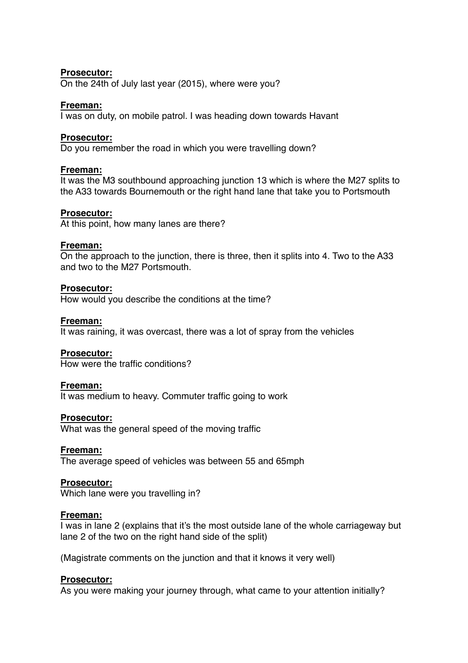## **Prosecutor:**

On the 24th of July last year (2015), where were you?

## **Freeman:**

I was on duty, on mobile patrol. I was heading down towards Havant

# **Prosecutor:**

Do you remember the road in which you were travelling down?

## **Freeman:**

It was the M3 southbound approaching junction 13 which is where the M27 splits to the A33 towards Bournemouth or the right hand lane that take you to Portsmouth

## **Prosecutor:**

At this point, how many lanes are there?

## **Freeman:**

On the approach to the junction, there is three, then it splits into 4. Two to the A33 and two to the M27 Portsmouth.

# **Prosecutor:**

How would you describe the conditions at the time?

## **Freeman:**

It was raining, it was overcast, there was a lot of spray from the vehicles

## **Prosecutor:**

How were the traffic conditions?

## **Freeman:**

It was medium to heavy. Commuter traffic going to work

## **Prosecutor:**

What was the general speed of the moving traffic

## **Freeman:**

The average speed of vehicles was between 55 and 65mph

## **Prosecutor:**

Which lane were you travelling in?

## **Freeman:**

I was in lane 2 (explains that it's the most outside lane of the whole carriageway but lane 2 of the two on the right hand side of the split)

(Magistrate comments on the junction and that it knows it very well)

## **Prosecutor:**

As you were making your journey through, what came to your attention initially?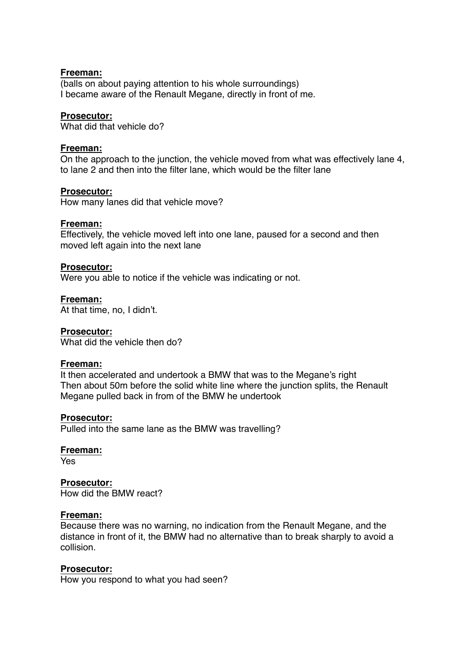#### **Freeman:**

(balls on about paying attention to his whole surroundings) I became aware of the Renault Megane, directly in front of me.

#### **Prosecutor:**

What did that vehicle do?

#### **Freeman:**

On the approach to the junction, the vehicle moved from what was effectively lane 4, to lane 2 and then into the filter lane, which would be the filter lane

#### **Prosecutor:**

How many lanes did that vehicle move?

#### **Freeman:**

Effectively, the vehicle moved left into one lane, paused for a second and then moved left again into the next lane

#### **Prosecutor:**

Were you able to notice if the vehicle was indicating or not.

**Freeman:**

At that time, no, I didn't.

#### **Prosecutor:**

What did the vehicle then do?

#### **Freeman:**

It then accelerated and undertook a BMW that was to the Megane's right Then about 50m before the solid white line where the junction splits, the Renault Megane pulled back in from of the BMW he undertook

#### **Prosecutor:**

Pulled into the same lane as the BMW was travelling?

#### **Freeman:**

Yes

## **Prosecutor:**

How did the BMW react?

#### **Freeman:**

Because there was no warning, no indication from the Renault Megane, and the distance in front of it, the BMW had no alternative than to break sharply to avoid a collision.

#### **Prosecutor:**

How you respond to what you had seen?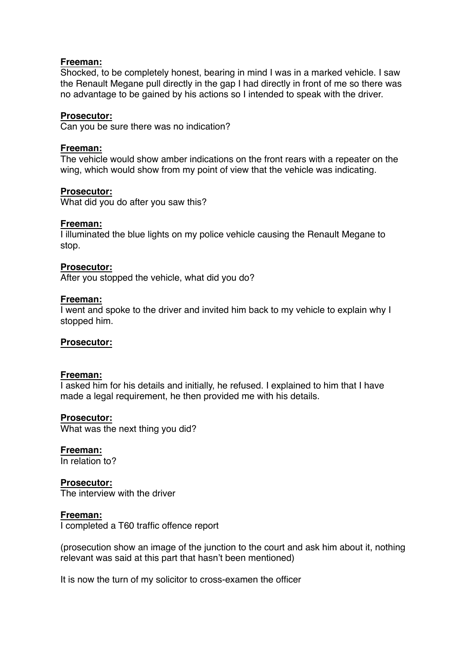## **Freeman:**

Shocked, to be completely honest, bearing in mind I was in a marked vehicle. I saw the Renault Megane pull directly in the gap I had directly in front of me so there was no advantage to be gained by his actions so I intended to speak with the driver.

## **Prosecutor:**

Can you be sure there was no indication?

## **Freeman:**

The vehicle would show amber indications on the front rears with a repeater on the wing, which would show from my point of view that the vehicle was indicating.

# **Prosecutor:**

What did you do after you saw this?

## **Freeman:**

I illuminated the blue lights on my police vehicle causing the Renault Megane to stop.

## **Prosecutor:**

After you stopped the vehicle, what did you do?

## **Freeman:**

I went and spoke to the driver and invited him back to my vehicle to explain why I stopped him.

## **Prosecutor:**

## **Freeman:**

I asked him for his details and initially, he refused. I explained to him that I have made a legal requirement, he then provided me with his details.

## **Prosecutor:**

What was the next thing you did?

**Freeman:** In relation to?

# **Prosecutor:**

The interview with the driver

## **Freeman:**

I completed a T60 traffic offence report

(prosecution show an image of the junction to the court and ask him about it, nothing relevant was said at this part that hasn't been mentioned)

It is now the turn of my solicitor to cross-examen the officer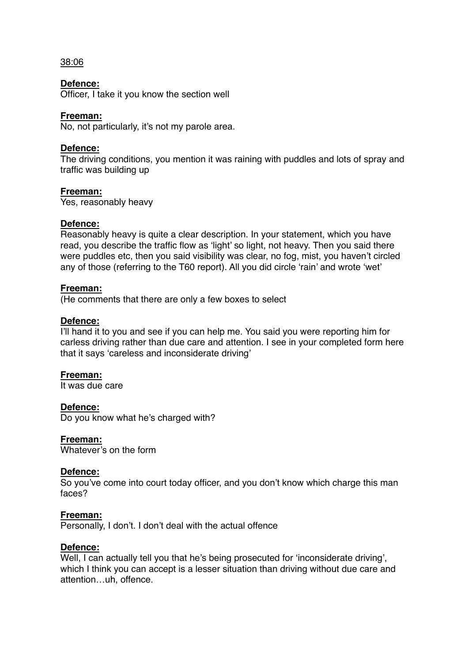## 38:06

## **Defence:**

Officer, I take it you know the section well

## **Freeman:**

No, not particularly, it's not my parole area.

## **Defence:**

The driving conditions, you mention it was raining with puddles and lots of spray and traffic was building up

# **Freeman:**

Yes, reasonably heavy

## **Defence:**

Reasonably heavy is quite a clear description. In your statement, which you have read, you describe the traffic flow as 'light' so light, not heavy. Then you said there were puddles etc, then you said visibility was clear, no fog, mist, you haven't circled any of those (referring to the T60 report). All you did circle 'rain' and wrote 'wet'

## **Freeman:**

(He comments that there are only a few boxes to select

## **Defence:**

I'll hand it to you and see if you can help me. You said you were reporting him for carless driving rather than due care and attention. I see in your completed form here that it says 'careless and inconsiderate driving'

## **Freeman:**

It was due care

## **Defence:**

Do you know what he's charged with?

## **Freeman:**

Whatever's on the form

## **Defence:**

So you've come into court today officer, and you don't know which charge this man faces?

## **Freeman:**

Personally, I don't. I don't deal with the actual offence

## **Defence:**

Well, I can actually tell you that he's being prosecuted for 'inconsiderate driving', which I think you can accept is a lesser situation than driving without due care and attention…uh, offence.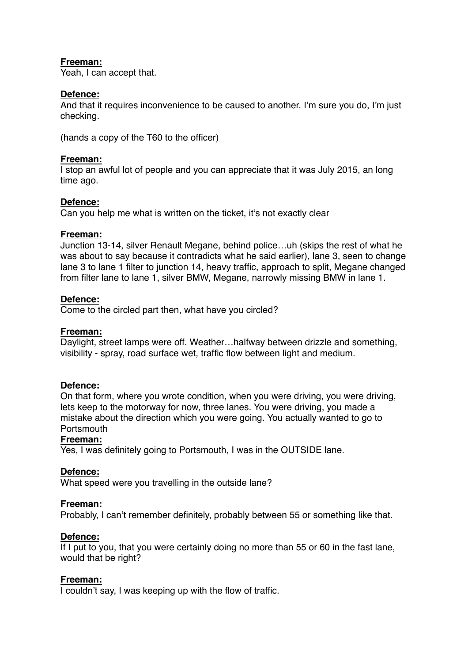# **Freeman:**

Yeah, I can accept that.

# **Defence:**

And that it requires inconvenience to be caused to another. I'm sure you do, I'm just checking.

(hands a copy of the T60 to the officer)

## **Freeman:**

I stop an awful lot of people and you can appreciate that it was July 2015, an long time ago.

# **Defence:**

Can you help me what is written on the ticket, it's not exactly clear

## **Freeman:**

Junction 13-14, silver Renault Megane, behind police…uh (skips the rest of what he was about to say because it contradicts what he said earlier), lane 3, seen to change lane 3 to lane 1 filter to junction 14, heavy traffic, approach to split, Megane changed from filter lane to lane 1, silver BMW, Megane, narrowly missing BMW in lane 1.

# **Defence:**

Come to the circled part then, what have you circled?

## **Freeman:**

Daylight, street lamps were off. Weather…halfway between drizzle and something, visibility - spray, road surface wet, traffic flow between light and medium.

## **Defence:**

On that form, where you wrote condition, when you were driving, you were driving, lets keep to the motorway for now, three lanes. You were driving, you made a mistake about the direction which you were going. You actually wanted to go to **Portsmouth** 

## **Freeman:**

Yes, I was definitely going to Portsmouth, I was in the OUTSIDE lane.

## **Defence:**

What speed were you travelling in the outside lane?

## **Freeman:**

Probably, I can't remember definitely, probably between 55 or something like that.

## **Defence:**

If I put to you, that you were certainly doing no more than 55 or 60 in the fast lane, would that be right?

## **Freeman:**

I couldn't say, I was keeping up with the flow of traffic.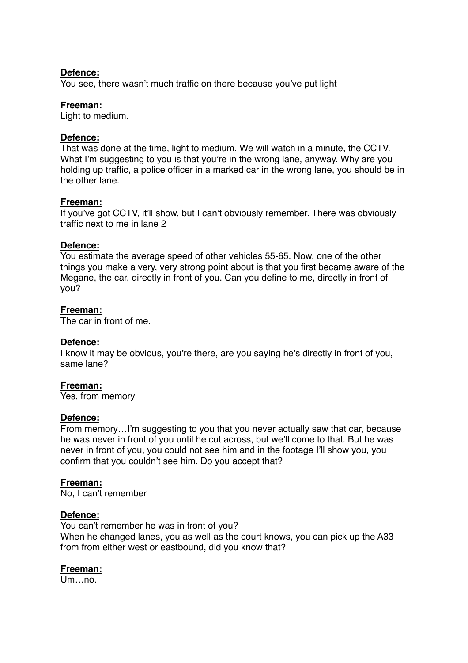#### **Defence:**

You see, there wasn't much traffic on there because you've put light

#### **Freeman:**

Light to medium.

## **Defence:**

That was done at the time, light to medium. We will watch in a minute, the CCTV. What I'm suggesting to you is that you're in the wrong lane, anyway. Why are you holding up traffic, a police officer in a marked car in the wrong lane, you should be in the other lane.

## **Freeman:**

If you've got CCTV, it'll show, but I can't obviously remember. There was obviously traffic next to me in lane 2

## **Defence:**

You estimate the average speed of other vehicles 55-65. Now, one of the other things you make a very, very strong point about is that you first became aware of the Megane, the car, directly in front of you. Can you define to me, directly in front of you?

## **Freeman:**

The car in front of me.

## **Defence:**

I know it may be obvious, you're there, are you saying he's directly in front of you, same lane?

## **Freeman:**

Yes, from memory

## **Defence:**

From memory…I'm suggesting to you that you never actually saw that car, because he was never in front of you until he cut across, but we'll come to that. But he was never in front of you, you could not see him and in the footage I'll show you, you confirm that you couldn't see him. Do you accept that?

## **Freeman:**

No, I can't remember

## **Defence:**

You can't remember he was in front of you? When he changed lanes, you as well as the court knows, you can pick up the A33 from from either west or eastbound, did you know that?

## **Freeman:**

Um no.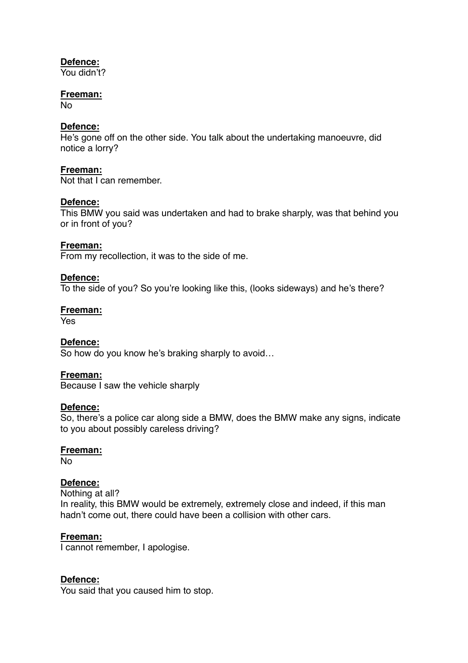# **Defence:**

You didn't?

# **Freeman:**

No

# **Defence:**

He's gone off on the other side. You talk about the undertaking manoeuvre, did notice a lorry?

## **Freeman:**

Not that I can remember.

# **Defence:**

This BMW you said was undertaken and had to brake sharply, was that behind you or in front of you?

# **Freeman:**

From my recollection, it was to the side of me.

# **Defence:**

To the side of you? So you're looking like this, (looks sideways) and he's there?

## **Freeman:**

Yes

## **Defence:**

So how do you know he's braking sharply to avoid…

## **Freeman:**

Because I saw the vehicle sharply

## **Defence:**

So, there's a police car along side a BMW, does the BMW make any signs, indicate to you about possibly careless driving?

## **Freeman:**

No

# **Defence:**

Nothing at all? In reality, this BMW would be extremely, extremely close and indeed, if this man hadn't come out, there could have been a collision with other cars.

## **Freeman:**

I cannot remember, I apologise.

# **Defence:**

You said that you caused him to stop.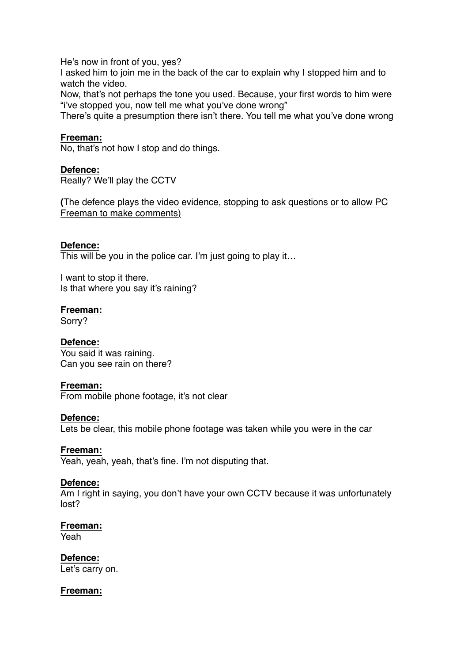He's now in front of you, yes?

I asked him to join me in the back of the car to explain why I stopped him and to watch the video.

Now, that's not perhaps the tone you used. Because, your first words to him were "i've stopped you, now tell me what you've done wrong"

There's quite a presumption there isn't there. You tell me what you've done wrong

# **Freeman:**

No, that's not how I stop and do things.

## **Defence:**

Really? We'll play the CCTV

**(**The defence plays the video evidence, stopping to ask questions or to allow PC Freeman to make comments)

# **Defence:**

This will be you in the police car. I'm just going to play it...

I want to stop it there. Is that where you say it's raining?

## **Freeman:**

Sorry?

# **Defence:**

You said it was raining. Can you see rain on there?

## **Freeman:**

From mobile phone footage, it's not clear

## **Defence:**

Lets be clear, this mobile phone footage was taken while you were in the car

## **Freeman:**

Yeah, yeah, yeah, that's fine. I'm not disputing that.

## **Defence:**

Am I right in saying, you don't have your own CCTV because it was unfortunately lost?

## **Freeman:**

Yeah

## **Defence:**

Let's carry on.

## **Freeman:**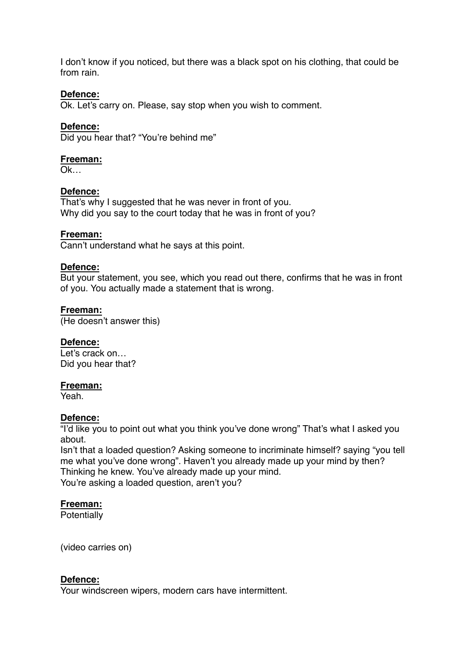I don't know if you noticed, but there was a black spot on his clothing, that could be from rain.

# **Defence:**

Ok. Let's carry on. Please, say stop when you wish to comment.

# **Defence:**

Did you hear that? "You're behind me"

## **Freeman:**

Ok…

## **Defence:**

That's why I suggested that he was never in front of you. Why did you say to the court today that he was in front of you?

#### **Freeman:**

Cann't understand what he says at this point.

#### **Defence:**

But your statement, you see, which you read out there, confirms that he was in front of you. You actually made a statement that is wrong.

#### **Freeman:**

(He doesn't answer this)

## **Defence:**

Let's crack on… Did you hear that?

#### **Freeman:**

Yeah.

## **Defence:**

"I'd like you to point out what you think you've done wrong" That's what I asked you about.

Isn't that a loaded question? Asking someone to incriminate himself? saying "you tell me what you've done wrong". Haven't you already made up your mind by then? Thinking he knew. You've already made up your mind. You're asking a loaded question, aren't you?

## **Freeman:**

**Potentially** 

(video carries on)

## **Defence:**

Your windscreen wipers, modern cars have intermittent.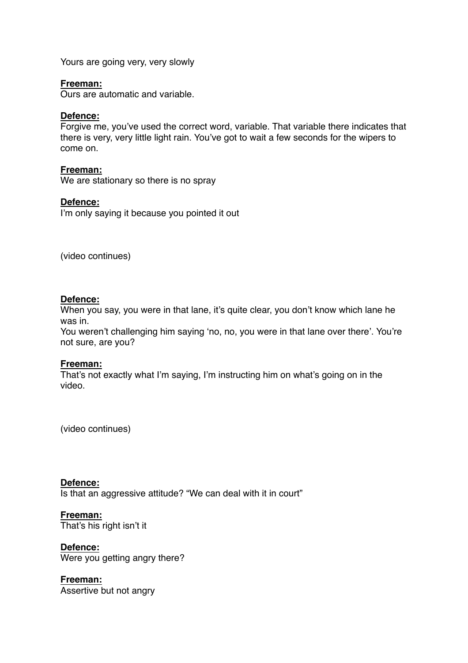Yours are going very, very slowly

## **Freeman:**

Ours are automatic and variable.

## **Defence:**

Forgive me, you've used the correct word, variable. That variable there indicates that there is very, very little light rain. You've got to wait a few seconds for the wipers to come on.

## **Freeman:**

We are stationary so there is no spray

# **Defence:**

I'm only saying it because you pointed it out

(video continues)

## **Defence:**

When you say, you were in that lane, it's quite clear, you don't know which lane he was in.

You weren't challenging him saying 'no, no, you were in that lane over there'. You're not sure, are you?

## **Freeman:**

That's not exactly what I'm saying, I'm instructing him on what's going on in the video.

(video continues)

## **Defence:**

Is that an aggressive attitude? "We can deal with it in court"

**Freeman:** That's his right isn't it

**Defence:** Were you getting angry there?

**Freeman:** Assertive but not angry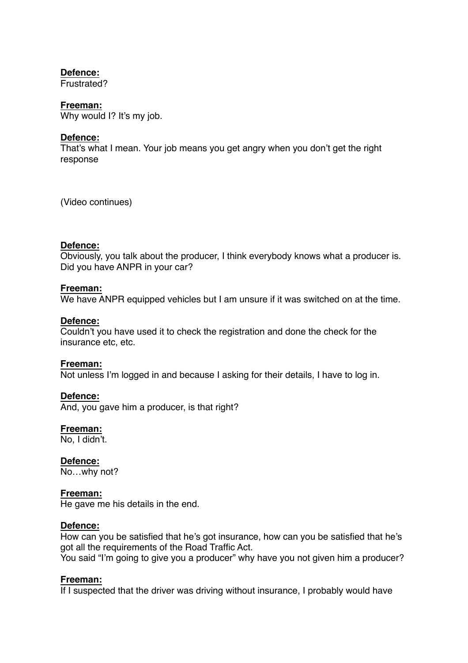# **Defence:**

Frustrated?

# **Freeman:**

Why would I? It's my job.

# **Defence:**

That's what I mean. Your job means you get angry when you don't get the right response

(Video continues)

# **Defence:**

Obviously, you talk about the producer, I think everybody knows what a producer is. Did you have ANPR in your car?

# **Freeman:**

We have ANPR equipped vehicles but I am unsure if it was switched on at the time.

## **Defence:**

Couldn't you have used it to check the registration and done the check for the insurance etc, etc.

## **Freeman:**

Not unless I'm logged in and because I asking for their details, I have to log in.

# **Defence:**

And, you gave him a producer, is that right?

## **Freeman:**

No, I didn't.

**Defence:** No…why not?

## **Freeman:**

He gave me his details in the end.

## **Defence:**

How can you be satisfied that he's got insurance, how can you be satisfied that he's got all the requirements of the Road Traffic Act.

You said "I'm going to give you a producer" why have you not given him a producer?

# **Freeman:**

If I suspected that the driver was driving without insurance, I probably would have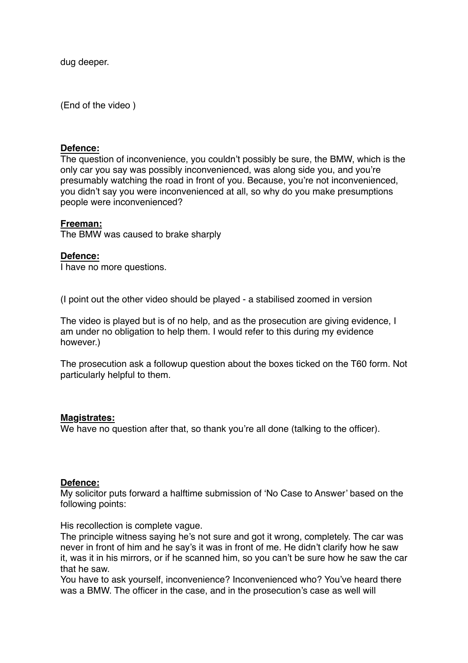dug deeper.

(End of the video )

#### **Defence:**

The question of inconvenience, you couldn't possibly be sure, the BMW, which is the only car you say was possibly inconvenienced, was along side you, and you're presumably watching the road in front of you. Because, you're not inconvenienced, you didn't say you were inconvenienced at all, so why do you make presumptions people were inconvenienced?

#### **Freeman:**

The BMW was caused to brake sharply

#### **Defence:**

I have no more questions.

(I point out the other video should be played - a stabilised zoomed in version

The video is played but is of no help, and as the prosecution are giving evidence, I am under no obligation to help them. I would refer to this during my evidence however.)

The prosecution ask a followup question about the boxes ticked on the T60 form. Not particularly helpful to them.

#### **Magistrates:**

We have no question after that, so thank you're all done (talking to the officer).

## **Defence:**

My solicitor puts forward a halftime submission of 'No Case to Answer' based on the following points:

His recollection is complete vague.

The principle witness saying he's not sure and got it wrong, completely. The car was never in front of him and he say's it was in front of me. He didn't clarify how he saw it, was it in his mirrors, or if he scanned him, so you can't be sure how he saw the car that he saw.

You have to ask yourself, inconvenience? Inconvenienced who? You've heard there was a BMW. The officer in the case, and in the prosecution's case as well will